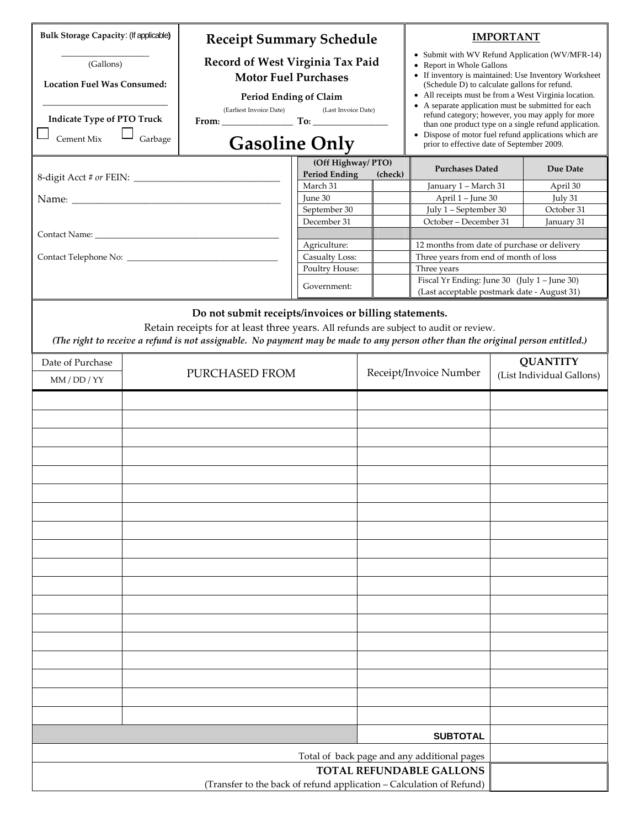| <b>Bulk Storage Capacity: (If applicable)</b><br>(Gallons)<br><b>Location Fuel Was Consumed:</b><br><b>Indicate Type of PTO Truck</b><br>Cement Mix<br>Garbage                                                                                                                                                                        |  | <b>Receipt Summary Schedule</b><br>Record of West Virginia Tax Paid<br><b>Motor Fuel Purchases</b><br><b>Period Ending of Claim</b><br>(Earliest Invoice Date)<br>(Last Invoice Date)<br><b>Gasoline Only</b><br>(Off Highway/PTO)<br><b>Period Ending</b><br>March 31<br>June 30<br>September 30 |                                                                                | (check) | <b>IMPORTANT</b><br>• Submit with WV Refund Application (WV/MFR-14)<br>Report in Whole Gallons<br>• If inventory is maintained: Use Inventory Worksheet<br>(Schedule D) to calculate gallons for refund.<br>• All receipts must be from a West Virginia location.<br>• A separate application must be submitted for each<br>refund category; however, you may apply for more<br>than one product type on a single refund application.<br>• Dispose of motor fuel refund applications which are<br>prior to effective date of September 2009.<br><b>Purchases Dated</b><br>Due Date<br>January 1 - March 31<br>April 30<br>April 1 - June 30<br>July 31<br>July 1 - September 30<br>October 31 |  |  |
|---------------------------------------------------------------------------------------------------------------------------------------------------------------------------------------------------------------------------------------------------------------------------------------------------------------------------------------|--|---------------------------------------------------------------------------------------------------------------------------------------------------------------------------------------------------------------------------------------------------------------------------------------------------|--------------------------------------------------------------------------------|---------|-----------------------------------------------------------------------------------------------------------------------------------------------------------------------------------------------------------------------------------------------------------------------------------------------------------------------------------------------------------------------------------------------------------------------------------------------------------------------------------------------------------------------------------------------------------------------------------------------------------------------------------------------------------------------------------------------|--|--|
|                                                                                                                                                                                                                                                                                                                                       |  |                                                                                                                                                                                                                                                                                                   | December 31<br>Agriculture:<br>Casualty Loss:<br>Poultry House:<br>Government: |         | October - December 31<br>January 31<br>12 months from date of purchase or delivery<br>Three years from end of month of loss<br>Three years<br>Fiscal Yr Ending: June 30 (July $1 -$ June 30)<br>(Last acceptable postmark date - August 31)                                                                                                                                                                                                                                                                                                                                                                                                                                                   |  |  |
| Do not submit receipts/invoices or billing statements.<br>Retain receipts for at least three years. All refunds are subject to audit or review.<br>(The right to receive a refund is not assignable. No payment may be made to any person other than the original person entitled.)<br>Date of Purchase<br>PURCHASED FROM<br>MM/DD/YY |  |                                                                                                                                                                                                                                                                                                   |                                                                                |         | <b>QUANTITY</b><br>Receipt/Invoice Number<br>(List Individual Gallons)                                                                                                                                                                                                                                                                                                                                                                                                                                                                                                                                                                                                                        |  |  |
|                                                                                                                                                                                                                                                                                                                                       |  |                                                                                                                                                                                                                                                                                                   |                                                                                |         |                                                                                                                                                                                                                                                                                                                                                                                                                                                                                                                                                                                                                                                                                               |  |  |
|                                                                                                                                                                                                                                                                                                                                       |  |                                                                                                                                                                                                                                                                                                   |                                                                                |         |                                                                                                                                                                                                                                                                                                                                                                                                                                                                                                                                                                                                                                                                                               |  |  |
|                                                                                                                                                                                                                                                                                                                                       |  |                                                                                                                                                                                                                                                                                                   |                                                                                |         | <b>SUBTOTAL</b><br>Total of back page and any additional pages                                                                                                                                                                                                                                                                                                                                                                                                                                                                                                                                                                                                                                |  |  |
| <b>TOTAL REFUNDABLE GALLONS</b><br>(Transfer to the back of refund application - Calculation of Refund)                                                                                                                                                                                                                               |  |                                                                                                                                                                                                                                                                                                   |                                                                                |         |                                                                                                                                                                                                                                                                                                                                                                                                                                                                                                                                                                                                                                                                                               |  |  |